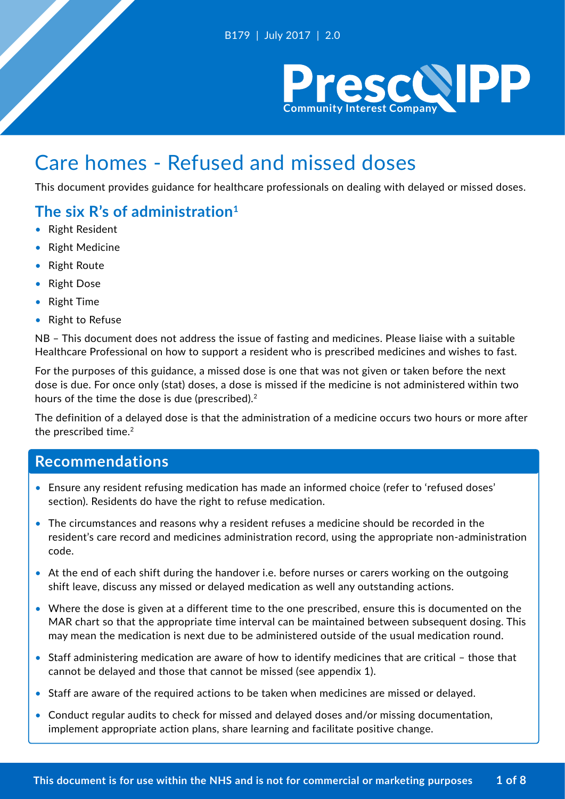

# Care homes - Refused and missed doses

This document provides guidance for healthcare professionals on dealing with delayed or missed doses.

# **The six R's of administration1**

- Right Resident
- Right Medicine
- Right Route
- Right Dose
- Right Time
- Right to Refuse

NB – This document does not address the issue of fasting and medicines. Please liaise with a suitable Healthcare Professional on how to support a resident who is prescribed medicines and wishes to fast.

For the purposes of this guidance, a missed dose is one that was not given or taken before the next dose is due. For once only (stat) doses, a dose is missed if the medicine is not administered within two hours of the time the dose is due (prescribed).2

The definition of a delayed dose is that the administration of a medicine occurs two hours or more after the prescribed time.<sup>2</sup>

#### **Recommendations**

- Ensure any resident refusing medication has made an informed choice (refer to 'refused doses' section). Residents do have the right to refuse medication.
- The circumstances and reasons why a resident refuses a medicine should be recorded in the resident's care record and medicines administration record, using the appropriate non-administration code.
- At the end of each shift during the handover i.e. before nurses or carers working on the outgoing shift leave, discuss any missed or delayed medication as well any outstanding actions.
- Where the dose is given at a different time to the one prescribed, ensure this is documented on the MAR chart so that the appropriate time interval can be maintained between subsequent dosing. This may mean the medication is next due to be administered outside of the usual medication round.
- Staff administering medication are aware of how to identify medicines that are critical those that cannot be delayed and those that cannot be missed (see appendix 1).
- Staff are aware of the required actions to be taken when medicines are missed or delayed.
- Conduct regular audits to check for missed and delayed doses and/or missing documentation, implement appropriate action plans, share learning and facilitate positive change.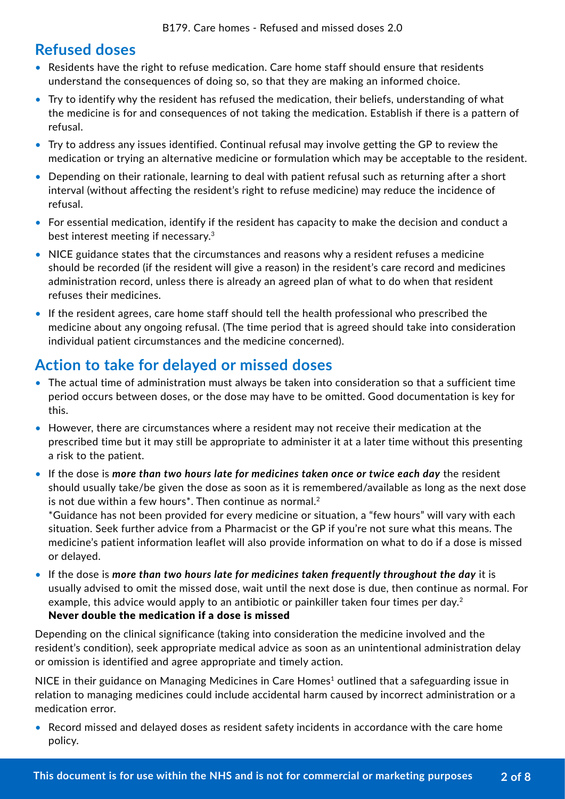### **Refused doses**

- Residents have the right to refuse medication. Care home staff should ensure that residents understand the consequences of doing so, so that they are making an informed choice.
- Try to identify why the resident has refused the medication, their beliefs, understanding of what the medicine is for and consequences of not taking the medication. Establish if there is a pattern of refusal.
- Try to address any issues identified. Continual refusal may involve getting the GP to review the medication or trying an alternative medicine or formulation which may be acceptable to the resident.
- Depending on their rationale, learning to deal with patient refusal such as returning after a short interval (without affecting the resident's right to refuse medicine) may reduce the incidence of refusal.
- For essential medication, identify if the resident has capacity to make the decision and conduct a best interest meeting if necessary.3
- NICE guidance states that the circumstances and reasons why a resident refuses a medicine should be recorded (if the resident will give a reason) in the resident's care record and medicines administration record, unless there is already an agreed plan of what to do when that resident refuses their medicines.
- If the resident agrees, care home staff should tell the health professional who prescribed the medicine about any ongoing refusal. (The time period that is agreed should take into consideration individual patient circumstances and the medicine concerned).

# **Action to take for delayed or missed doses**

- The actual time of administration must always be taken into consideration so that a sufficient time period occurs between doses, or the dose may have to be omitted. Good documentation is key for this.
- However, there are circumstances where a resident may not receive their medication at the prescribed time but it may still be appropriate to administer it at a later time without this presenting a risk to the patient.
- If the dose is *more than two hours late for medicines taken once or twice each day* the resident should usually take/be given the dose as soon as it is remembered/available as long as the next dose is not due within a few hours<sup>\*</sup>. Then continue as normal.<sup>2</sup>

\*Guidance has not been provided for every medicine or situation, a "few hours" will vary with each situation. Seek further advice from a Pharmacist or the GP if you're not sure what this means. The medicine's patient information leaflet will also provide information on what to do if a dose is missed or delayed.

• If the dose is *more than two hours late for medicines taken frequently throughout the day* it is usually advised to omit the missed dose, wait until the next dose is due, then continue as normal. For example, this advice would apply to an antibiotic or painkiller taken four times per day.<sup>2</sup> Never double the medication if a dose is missed

Depending on the clinical significance (taking into consideration the medicine involved and the resident's condition), seek appropriate medical advice as soon as an unintentional administration delay or omission is identified and agree appropriate and timely action.

NICE in their guidance on Managing Medicines in Care Homes<sup>1</sup> outlined that a safeguarding issue in relation to managing medicines could include accidental harm caused by incorrect administration or a medication error.

• Record missed and delayed doses as resident safety incidents in accordance with the care home policy.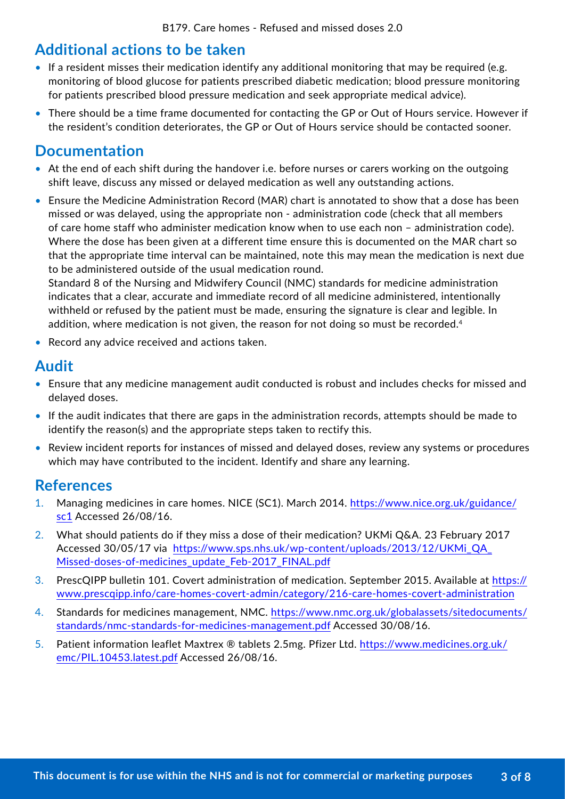### **Additional actions to be taken**

- If a resident misses their medication identify any additional monitoring that may be required (e.g. monitoring of blood glucose for patients prescribed diabetic medication; blood pressure monitoring for patients prescribed blood pressure medication and seek appropriate medical advice).
- There should be a time frame documented for contacting the GP or Out of Hours service. However if the resident's condition deteriorates, the GP or Out of Hours service should be contacted sooner.

### **Documentation**

- At the end of each shift during the handover i.e. before nurses or carers working on the outgoing shift leave, discuss any missed or delayed medication as well any outstanding actions.
- Ensure the Medicine Administration Record (MAR) chart is annotated to show that a dose has been missed or was delayed, using the appropriate non - administration code (check that all members of care home staff who administer medication know when to use each non – administration code). Where the dose has been given at a different time ensure this is documented on the MAR chart so that the appropriate time interval can be maintained, note this may mean the medication is next due to be administered outside of the usual medication round.

Standard 8 of the Nursing and Midwifery Council (NMC) standards for medicine administration indicates that a clear, accurate and immediate record of all medicine administered, intentionally withheld or refused by the patient must be made, ensuring the signature is clear and legible. In addition, where medication is not given, the reason for not doing so must be recorded.<sup>4</sup>

• Record any advice received and actions taken.

### **Audit**

- Ensure that any medicine management audit conducted is robust and includes checks for missed and delayed doses.
- If the audit indicates that there are gaps in the administration records, attempts should be made to identify the reason(s) and the appropriate steps taken to rectify this.
- Review incident reports for instances of missed and delayed doses, review any systems or procedures which may have contributed to the incident. Identify and share any learning.

#### **References**

- 1. Managing medicines in care homes. NICE (SC1). March 2014. [https://www.nice.org.uk/guidance/](https://www.nice.org.uk/guidance/sc1) [sc1](https://www.nice.org.uk/guidance/sc1) Accessed 26/08/16.
- 2. What should patients do if they miss a dose of their medication? UKMi Q&A. 23 February 2017 Accessed 30/05/17 via [https://www.sps.nhs.uk/wp-content/uploads/2013/12/UKMi\\_QA\\_](https://www.sps.nhs.uk/wp-content/uploads/2013/12/UKMi_QA_Missed-doses-of-medicines_update_Feb-2017_FINAL.pdf) [Missed-doses-of-medicines\\_update\\_Feb-2017\\_FINAL.pdf](https://www.sps.nhs.uk/wp-content/uploads/2013/12/UKMi_QA_Missed-doses-of-medicines_update_Feb-2017_FINAL.pdf)
- 3. PrescQIPP bulletin 101. Covert administration of medication. September 2015. Available at [https://](https://www.prescqipp.info/care-homes-covert-admin/category/216-care-homes-covert-administration) [www.prescqipp.info/care-homes-covert-admin/category/216-care-homes-covert-administration](https://www.prescqipp.info/care-homes-covert-admin/category/216-care-homes-covert-administration)
- 4. Standards for medicines management, NMC. [https://www.nmc.org.uk/globalassets/sitedocuments/](https://www.nmc.org.uk/globalassets/sitedocuments/standards/nmc-standards-for-medicines-management.pdf) [standards/nmc-standards-for-medicines-management.pdf](https://www.nmc.org.uk/globalassets/sitedocuments/standards/nmc-standards-for-medicines-management.pdf) Accessed 30/08/16.
- 5. Patient information leaflet Maxtrex ® tablets 2.5mg. Pfizer Ltd. [https://www.medicines.org.uk/](https://www.medicines.org.uk/emc/PIL.10453.latest.pdf) [emc/PIL.10453.latest.pdf](https://www.medicines.org.uk/emc/PIL.10453.latest.pdf) Accessed 26/08/16.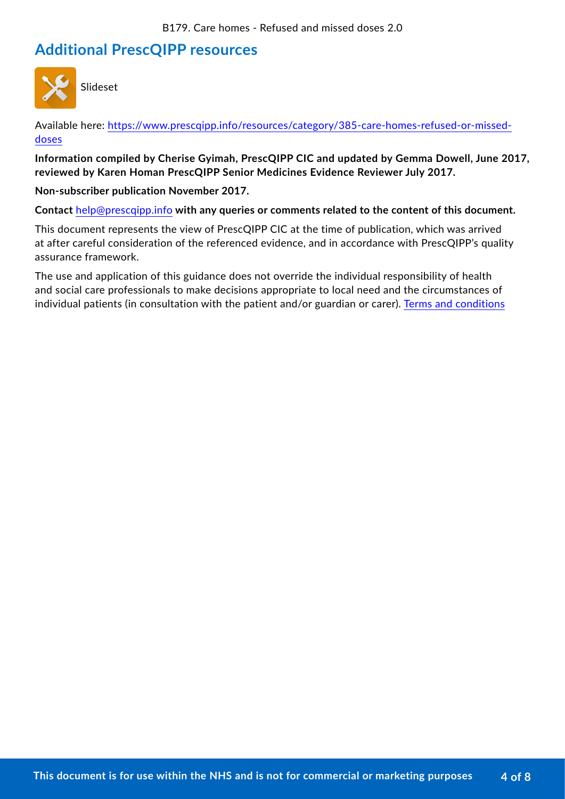# **Additional PrescQIPP resources**



Slideset

Available here: [https://www.prescqipp.info/resources/category/385-care-homes-refused-or-missed](https://www.prescqipp.info/resources/category/385-care-homes-refused-or-missed-doses)[doses](https://www.prescqipp.info/resources/category/385-care-homes-refused-or-missed-doses)

**Information compiled by Cherise Gyimah, PrescQIPP CIC and updated by Gemma Dowell, June 2017, reviewed by Karen Homan PrescQIPP Senior Medicines Evidence Reviewer July 2017.**

**Non-subscriber publication November 2017.**

**Contact** help@prescqipp.info **with any queries or comments related to the content of this document.**

This document represents the view of PrescQIPP CIC at the time of publication, which was arrived at after careful consideration of the referenced evidence, and in accordance with PrescQIPP's quality assurance framework.

The use and application of this guidance does not override the individual responsibility of health and social care professionals to make decisions appropriate to local need and the circumstances of individual patients (in consultation with the patient and/or guardian or carer). [Terms and conditions](https://www.prescqipp.info/terms-and-conditions/info/terms-and-conditions)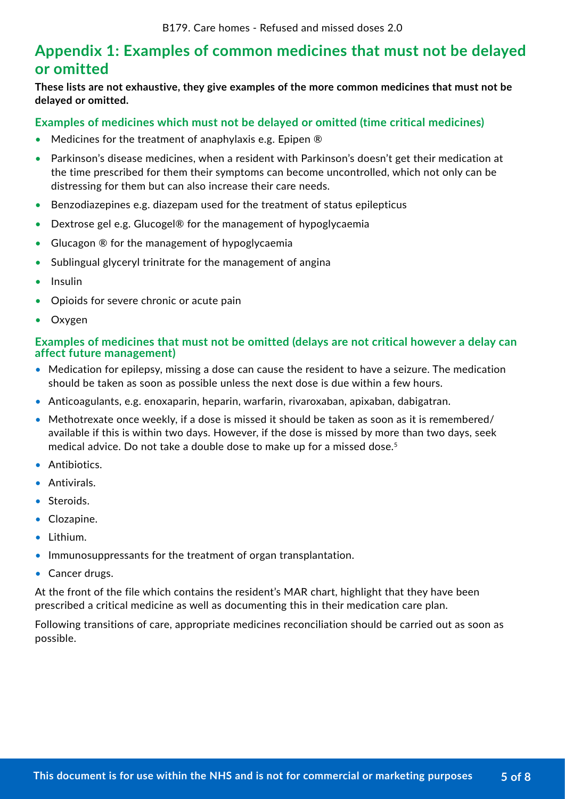### **Appendix 1: Examples of common medicines that must not be delayed or omitted**

**These lists are not exhaustive, they give examples of the more common medicines that must not be delayed or omitted.**

#### **Examples of medicines which must not be delayed or omitted (time critical medicines)**

- Medicines for the treatment of anaphylaxis e.g. Epipen ®
- Parkinson's disease medicines, when a resident with Parkinson's doesn't get their medication at the time prescribed for them their symptoms can become uncontrolled, which not only can be distressing for them but can also increase their care needs.
- Benzodiazepines e.g. diazepam used for the treatment of status epilepticus
- Dextrose gel e.g. Glucogel® for the management of hypoglycaemia
- Glucagon ® for the management of hypoglycaemia
- Sublingual glyceryl trinitrate for the management of angina
- Insulin
- Opioids for severe chronic or acute pain
- Oxygen

#### **Examples of medicines that must not be omitted (delays are not critical however a delay can affect future management)**

- Medication for epilepsy, missing a dose can cause the resident to have a seizure. The medication should be taken as soon as possible unless the next dose is due within a few hours.
- Anticoagulants, e.g. enoxaparin, heparin, warfarin, rivaroxaban, apixaban, dabigatran.
- Methotrexate once weekly, if a dose is missed it should be taken as soon as it is remembered/ available if this is within two days. However, if the dose is missed by more than two days, seek medical advice. Do not take a double dose to make up for a missed dose.5
- Antibiotics.
- Antivirals.
- Steroids.
- Clozapine.
- Lithium.
- Immunosuppressants for the treatment of organ transplantation.
- Cancer drugs.

At the front of the file which contains the resident's MAR chart, highlight that they have been prescribed a critical medicine as well as documenting this in their medication care plan.

Following transitions of care, appropriate medicines reconciliation should be carried out as soon as possible.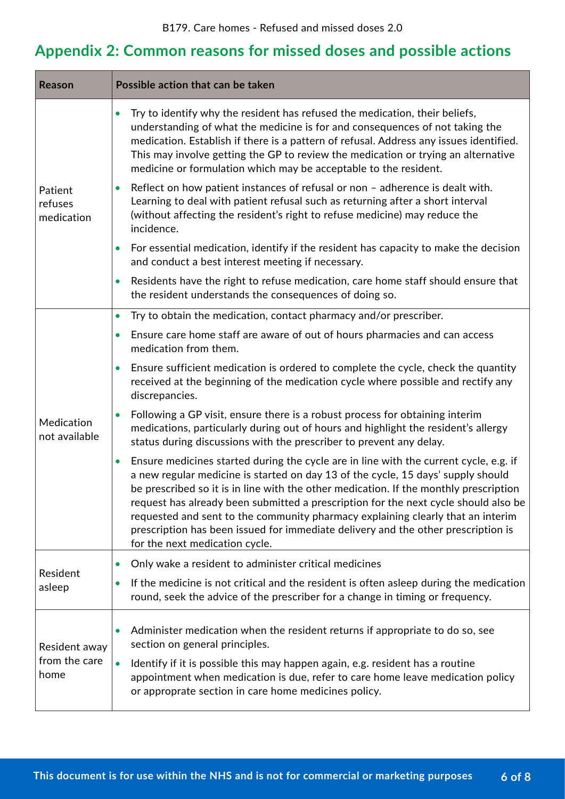# **Appendix 2: Common reasons for missed doses and possible actions**

| <b>Reason</b>                          | Possible action that can be taken                                                                                                                                                                                                                                                                                                                                                                                                                                                                                                                                                |
|----------------------------------------|----------------------------------------------------------------------------------------------------------------------------------------------------------------------------------------------------------------------------------------------------------------------------------------------------------------------------------------------------------------------------------------------------------------------------------------------------------------------------------------------------------------------------------------------------------------------------------|
| Patient<br>refuses<br>medication       | Try to identify why the resident has refused the medication, their beliefs,<br>$\bullet$<br>understanding of what the medicine is for and consequences of not taking the<br>medication. Establish if there is a pattern of refusal. Address any issues identified.<br>This may involve getting the GP to review the medication or trying an alternative<br>medicine or formulation which may be acceptable to the resident.                                                                                                                                                      |
|                                        | Reflect on how patient instances of refusal or non - adherence is dealt with.<br>$\bullet$<br>Learning to deal with patient refusal such as returning after a short interval<br>(without affecting the resident's right to refuse medicine) may reduce the<br>incidence.                                                                                                                                                                                                                                                                                                         |
|                                        | For essential medication, identify if the resident has capacity to make the decision<br>$\bullet$<br>and conduct a best interest meeting if necessary.                                                                                                                                                                                                                                                                                                                                                                                                                           |
|                                        | Residents have the right to refuse medication, care home staff should ensure that<br>the resident understands the consequences of doing so.                                                                                                                                                                                                                                                                                                                                                                                                                                      |
| Medication<br>not available            | Try to obtain the medication, contact pharmacy and/or prescriber.<br>$\bullet$                                                                                                                                                                                                                                                                                                                                                                                                                                                                                                   |
|                                        | Ensure care home staff are aware of out of hours pharmacies and can access<br>$\bullet$<br>medication from them.                                                                                                                                                                                                                                                                                                                                                                                                                                                                 |
|                                        | Ensure sufficient medication is ordered to complete the cycle, check the quantity<br>$\bullet$<br>received at the beginning of the medication cycle where possible and rectify any<br>discrepancies.                                                                                                                                                                                                                                                                                                                                                                             |
|                                        | Following a GP visit, ensure there is a robust process for obtaining interim<br>$\bullet$<br>medications, particularly during out of hours and highlight the resident's allergy<br>status during discussions with the prescriber to prevent any delay.                                                                                                                                                                                                                                                                                                                           |
|                                        | Ensure medicines started during the cycle are in line with the current cycle, e.g. if<br>$\bullet$<br>a new regular medicine is started on day 13 of the cycle, 15 days' supply should<br>be prescribed so it is in line with the other medication. If the monthly prescription<br>request has already been submitted a prescription for the next cycle should also be<br>requested and sent to the community pharmacy explaining clearly that an interim<br>prescription has been issued for immediate delivery and the other prescription is<br>for the next medication cycle. |
| Resident<br>asleep                     | Only wake a resident to administer critical medicines<br>$\bullet$                                                                                                                                                                                                                                                                                                                                                                                                                                                                                                               |
|                                        | If the medicine is not critical and the resident is often asleep during the medication<br>$\bullet$<br>round, seek the advice of the prescriber for a change in timing or frequency.                                                                                                                                                                                                                                                                                                                                                                                             |
| Resident away<br>from the care<br>home | Administer medication when the resident returns if appropriate to do so, see<br>$\bullet$<br>section on general principles.<br>Identify if it is possible this may happen again, e.g. resident has a routine<br>appointment when medication is due, refer to care home leave medication policy<br>or approprate section in care home medicines policy.                                                                                                                                                                                                                           |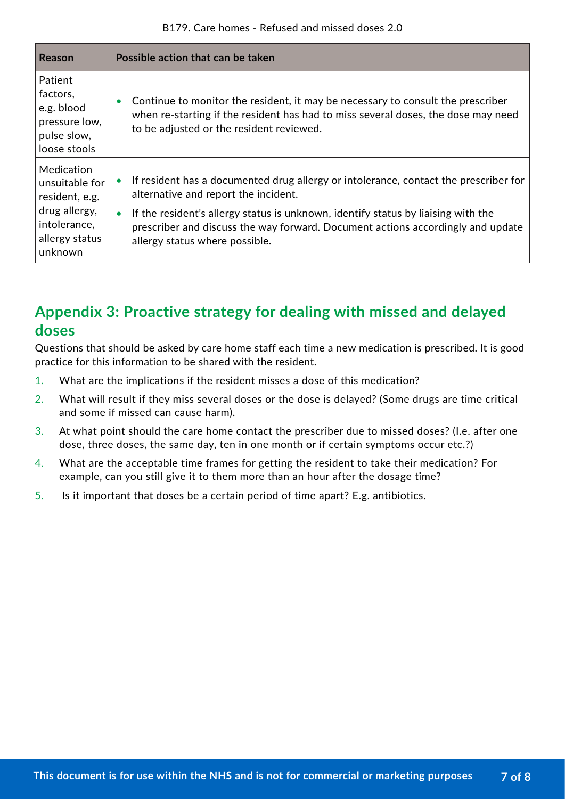| <b>Reason</b>                                                                                                | Possible action that can be taken                                                                                                                                                                                   |
|--------------------------------------------------------------------------------------------------------------|---------------------------------------------------------------------------------------------------------------------------------------------------------------------------------------------------------------------|
| Patient<br>factors,<br>e.g. blood<br>pressure low,<br>pulse slow,<br>loose stools                            | Continue to monitor the resident, it may be necessary to consult the prescriber<br>when re-starting if the resident has had to miss several doses, the dose may need<br>to be adjusted or the resident reviewed.    |
| Medication<br>unsuitable for<br>resident, e.g.<br>drug allergy,<br>intolerance,<br>allergy status<br>unknown | If resident has a documented drug allergy or intolerance, contact the prescriber for<br>alternative and report the incident.                                                                                        |
|                                                                                                              | If the resident's allergy status is unknown, identify status by liaising with the<br>$\bullet$<br>prescriber and discuss the way forward. Document actions accordingly and update<br>allergy status where possible. |

# **Appendix 3: Proactive strategy for dealing with missed and delayed doses**

Questions that should be asked by care home staff each time a new medication is prescribed. It is good practice for this information to be shared with the resident.

- 1. What are the implications if the resident misses a dose of this medication?
- 2. What will result if they miss several doses or the dose is delayed? (Some drugs are time critical and some if missed can cause harm).
- 3. At what point should the care home contact the prescriber due to missed doses? (I.e. after one dose, three doses, the same day, ten in one month or if certain symptoms occur etc.?)
- 4. What are the acceptable time frames for getting the resident to take their medication? For example, can you still give it to them more than an hour after the dosage time?
- 5. Is it important that doses be a certain period of time apart? E.g. antibiotics.